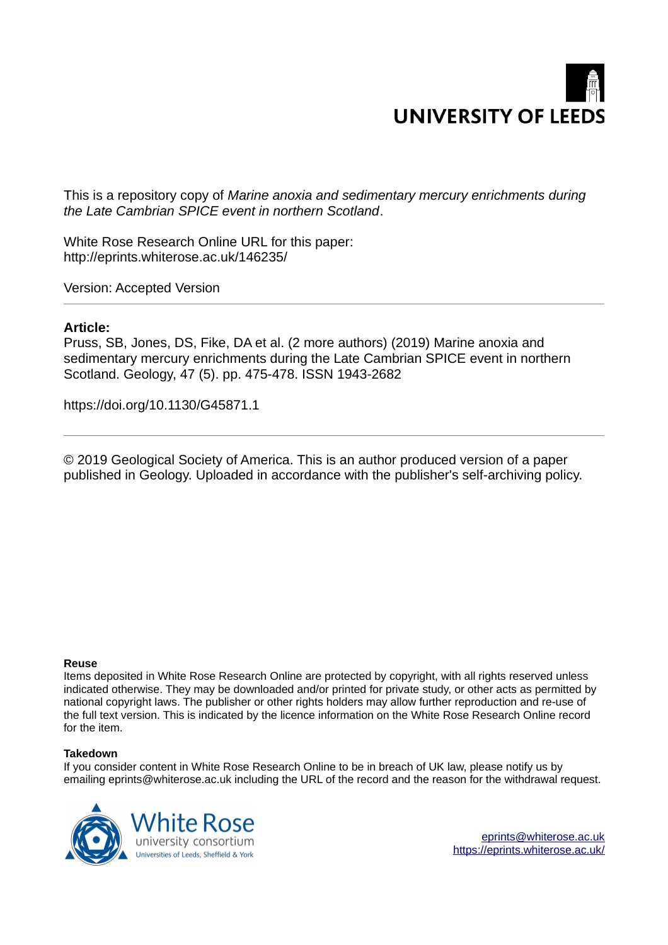

This is a repository copy of *Marine anoxia and sedimentary mercury enrichments during the Late Cambrian SPICE event in northern Scotland*.

White Rose Research Online URL for this paper: http://eprints.whiterose.ac.uk/146235/

Version: Accepted Version

#### **Article:**

Pruss, SB, Jones, DS, Fike, DA et al. (2 more authors) (2019) Marine anoxia and sedimentary mercury enrichments during the Late Cambrian SPICE event in northern Scotland. Geology, 47 (5). pp. 475-478. ISSN 1943-2682

https://doi.org/10.1130/G45871.1

© 2019 Geological Society of America. This is an author produced version of a paper published in Geology. Uploaded in accordance with the publisher's self-archiving policy.

#### **Reuse**

Items deposited in White Rose Research Online are protected by copyright, with all rights reserved unless indicated otherwise. They may be downloaded and/or printed for private study, or other acts as permitted by national copyright laws. The publisher or other rights holders may allow further reproduction and re-use of the full text version. This is indicated by the licence information on the White Rose Research Online record for the item.

#### **Takedown**

If you consider content in White Rose Research Online to be in breach of UK law, please notify us by emailing eprints@whiterose.ac.uk including the URL of the record and the reason for the withdrawal request.



[eprints@whiterose.ac.uk](mailto:eprints@whiterose.ac.uk) <https://eprints.whiterose.ac.uk/>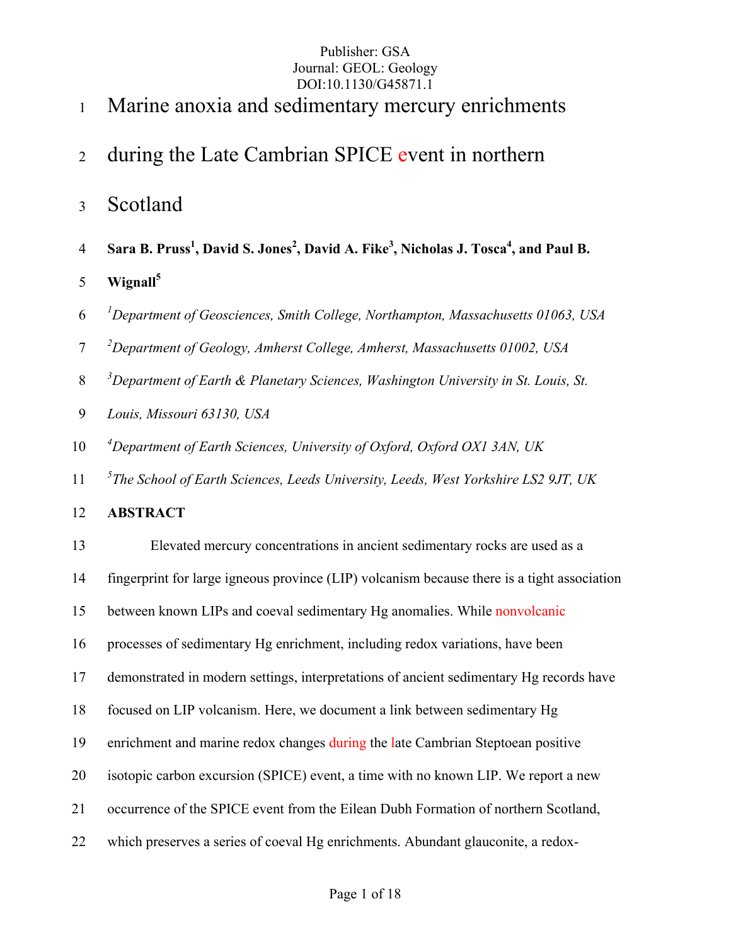- <sup>1</sup>Marine anoxia and sedimentary mercury enrichments
- 2 during the Late Cambrian SPICE event in northern
- 3 Scotland
- **Sara B. Pruss<sup>1</sup> , David S. Jones<sup>2</sup> , David A. Fike<sup>3</sup> , Nicholas J. Tosca<sup>4</sup>** 4 **, and Paul B.**
- **Wignall<sup>5</sup>** 5
- *1* 6 *Department of Geosciences, Smith College, Northampton, Massachusetts 01063, USA*
- *2* 7 *Department of Geology, Amherst College, Amherst, Massachusetts 01002, USA*
- *3* 8 *Department of Earth & Planetary Sciences, Washington University in St. Louis, St.*
- 9 *Louis, Missouri 63130, USA*
- *4* 10 *Department of Earth Sciences, University of Oxford, Oxford OX1 3AN, UK*
- *5* 11 *The School of Earth Sciences, Leeds University, Leeds, West Yorkshire LS2 9JT, UK*
- 12 **ABSTRACT**

13 Elevated mercury concentrations in ancient sedimentary rocks are used as a 14 fingerprint for large igneous province (LIP) volcanism because there is a tight association 15 between known LIPs and coeval sedimentary Hg anomalies. While nonvolcanic 16 processes of sedimentary Hg enrichment, including redox variations, have been 17 demonstrated in modern settings, interpretations of ancient sedimentary Hg records have 18 focused on LIP volcanism. Here, we document a link between sedimentary Hg 19 enrichment and marine redox changes during the late Cambrian Steptoean positive 20 isotopic carbon excursion (SPICE) event, a time with no known LIP. We report a new 21 occurrence of the SPICE event from the Eilean Dubh Formation of northern Scotland, 22 which preserves a series of coeval Hg enrichments. Abundant glauconite, a redox-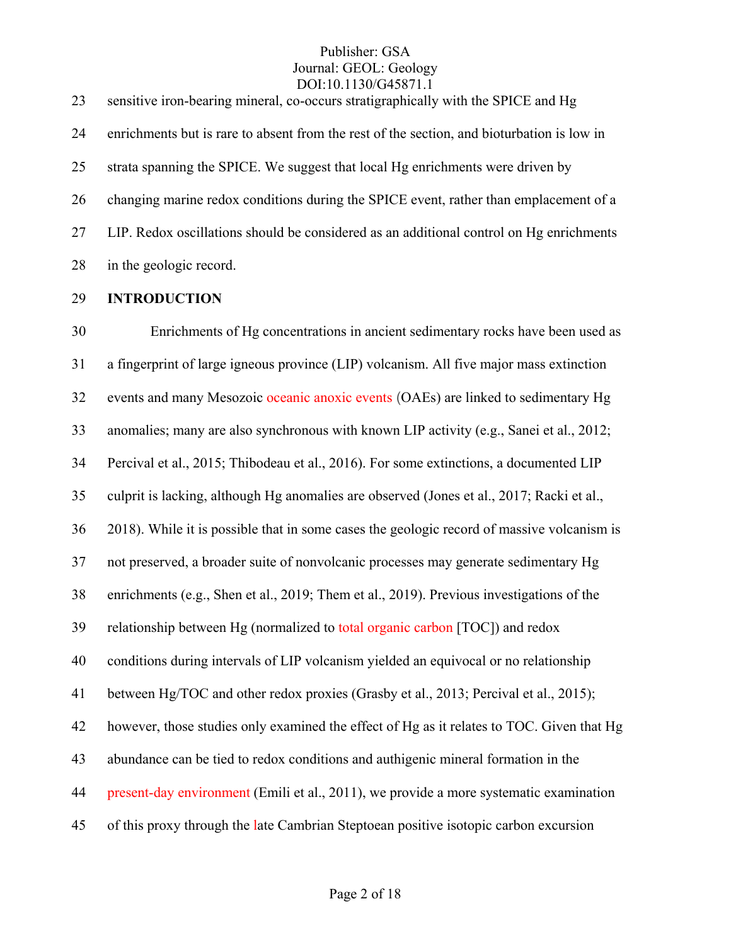23 sensitive iron-bearing mineral, co-occurs stratigraphically with the SPICE and Hg 24 enrichments but is rare to absent from the rest of the section, and bioturbation is low in 25 strata spanning the SPICE. We suggest that local Hg enrichments were driven by 26 changing marine redox conditions during the SPICE event, rather than emplacement of a 27 LIP. Redox oscillations should be considered as an additional control on Hg enrichments 28 in the geologic record.

#### 29 **INTRODUCTION**

30 Enrichments of Hg concentrations in ancient sedimentary rocks have been used as 31 a fingerprint of large igneous province (LIP) volcanism. All five major mass extinction 32 events and many Mesozoic oceanic anoxic events (OAEs) are linked to sedimentary Hg 33 anomalies; many are also synchronous with known LIP activity (e.g., Sanei et al., 2012; 34 Percival et al., 2015; Thibodeau et al., 2016). For some extinctions, a documented LIP 35 culprit is lacking, although Hg anomalies are observed (Jones et al., 2017; Racki et al., 36 2018). While it is possible that in some cases the geologic record of massive volcanism is 37 not preserved, a broader suite of nonvolcanic processes may generate sedimentary Hg 38 enrichments (e.g., Shen et al., 2019; Them et al., 2019). Previous investigations of the 39 relationship between Hg (normalized to total organic carbon [TOC]) and redox 40 conditions during intervals of LIP volcanism yielded an equivocal or no relationship 41 between Hg/TOC and other redox proxies (Grasby et al., 2013; Percival et al., 2015); 42 however, those studies only examined the effect of Hg as it relates to TOC. Given that Hg 43 abundance can be tied to redox conditions and authigenic mineral formation in the 44 present-day environment (Emili et al., 2011), we provide a more systematic examination 45 of this proxy through the late Cambrian Steptoean positive isotopic carbon excursion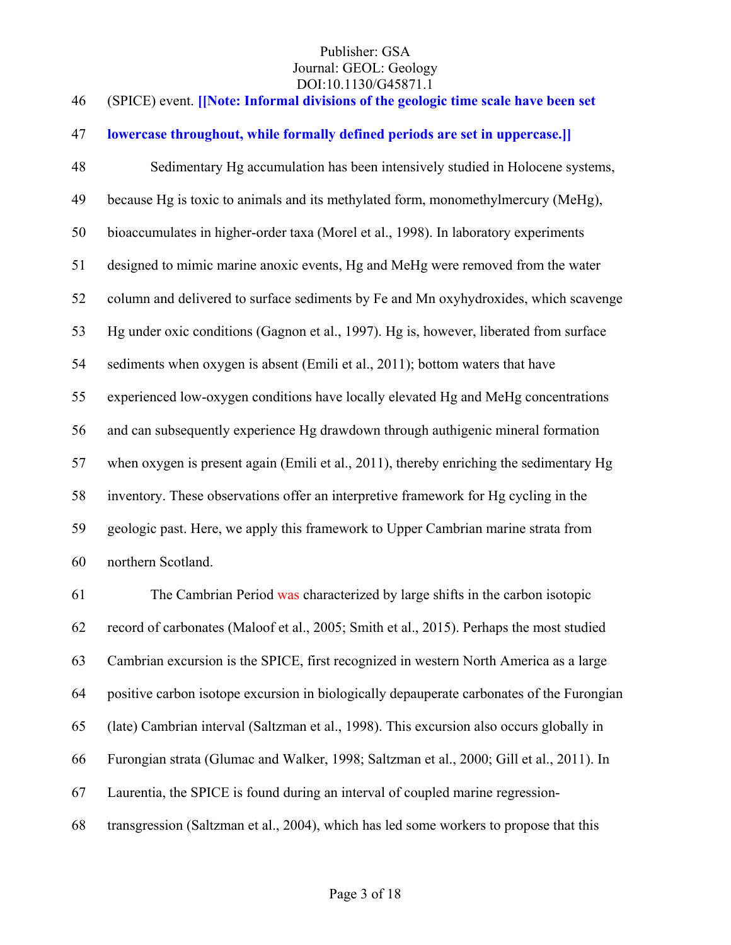### 46 (SPICE) event. **[[Note: Informal divisions of the geologic time scale have been set**

#### 47 **lowercase throughout, while formally defined periods are set in uppercase.]]**

48 Sedimentary Hg accumulation has been intensively studied in Holocene systems, 49 because Hg is toxic to animals and its methylated form, monomethylmercury (MeHg), 50 bioaccumulates in higher-order taxa (Morel et al., 1998). In laboratory experiments 51 designed to mimic marine anoxic events, Hg and MeHg were removed from the water 52 column and delivered to surface sediments by Fe and Mn oxyhydroxides, which scavenge 53 Hg under oxic conditions (Gagnon et al., 1997). Hg is, however, liberated from surface 54 sediments when oxygen is absent (Emili et al., 2011); bottom waters that have 55 experienced low-oxygen conditions have locally elevated Hg and MeHg concentrations 56 and can subsequently experience Hg drawdown through authigenic mineral formation 57 when oxygen is present again (Emili et al., 2011), thereby enriching the sedimentary Hg 58 inventory. These observations offer an interpretive framework for Hg cycling in the 59 geologic past. Here, we apply this framework to Upper Cambrian marine strata from 60 northern Scotland.

61 The Cambrian Period was characterized by large shifts in the carbon isotopic 62 record of carbonates (Maloof et al., 2005; Smith et al., 2015). Perhaps the most studied 63 Cambrian excursion is the SPICE, first recognized in western North America as a large 64 positive carbon isotope excursion in biologically depauperate carbonates of the Furongian 65 (late) Cambrian interval (Saltzman et al., 1998). This excursion also occurs globally in 66 Furongian strata (Glumac and Walker, 1998; Saltzman et al., 2000; Gill et al., 2011). In 67 Laurentia, the SPICE is found during an interval of coupled marine regression-68 transgression (Saltzman et al., 2004), which has led some workers to propose that this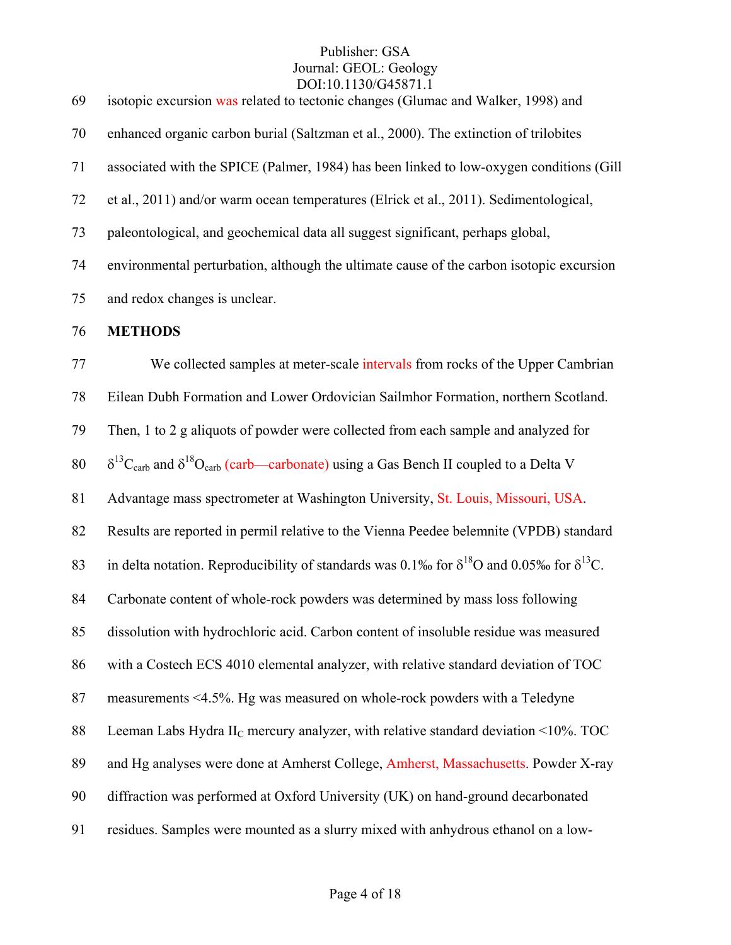| 69 | isotopic excursion was related to tectonic changes (Glumac and Walker, 1998) and                                   |
|----|--------------------------------------------------------------------------------------------------------------------|
| 70 | enhanced organic carbon burial (Saltzman et al., 2000). The extinction of trilobites                               |
| 71 | associated with the SPICE (Palmer, 1984) has been linked to low-oxygen conditions (Gill                            |
| 72 | et al., 2011) and/or warm ocean temperatures (Elrick et al., 2011). Sedimentological,                              |
| 73 | paleontological, and geochemical data all suggest significant, perhaps global,                                     |
| 74 | environmental perturbation, although the ultimate cause of the carbon isotopic excursion                           |
| 75 | and redox changes is unclear.                                                                                      |
| 76 | <b>METHODS</b>                                                                                                     |
| 77 | We collected samples at meter-scale intervals from rocks of the Upper Cambrian                                     |
| 78 | Eilean Dubh Formation and Lower Ordovician Sailmhor Formation, northern Scotland.                                  |
| 79 | Then, 1 to 2 g aliquots of powder were collected from each sample and analyzed for                                 |
| 80 | $\delta^{13}C_{\rm carb}$ and $\delta^{18}O_{\rm carb}$ (carb—carbonate) using a Gas Bench II coupled to a Delta V |
| 81 | Advantage mass spectrometer at Washington University, St. Louis, Missouri, USA.                                    |
| 82 | Results are reported in permil relative to the Vienna Peedee belemnite (VPDB) standard                             |
| 83 | in delta notation. Reproducibility of standards was 0.1% for $\delta^{18}O$ and 0.05% for $\delta^{13}C$ .         |
| 84 | Carbonate content of whole-rock powders was determined by mass loss following                                      |
| 85 | dissolution with hydrochloric acid. Carbon content of insoluble residue was measured                               |
| 86 | with a Costech ECS 4010 elemental analyzer, with relative standard deviation of TOC                                |
| 87 | measurements <4.5%. Hg was measured on whole-rock powders with a Teledyne                                          |
| 88 | Leeman Labs Hydra II <sub>C</sub> mercury analyzer, with relative standard deviation <10%. TOC                     |
| 89 | and Hg analyses were done at Amherst College, Amherst, Massachusetts. Powder X-ray                                 |
| 90 | diffraction was performed at Oxford University (UK) on hand-ground decarbonated                                    |
| 91 | residues. Samples were mounted as a slurry mixed with anhydrous ethanol on a low-                                  |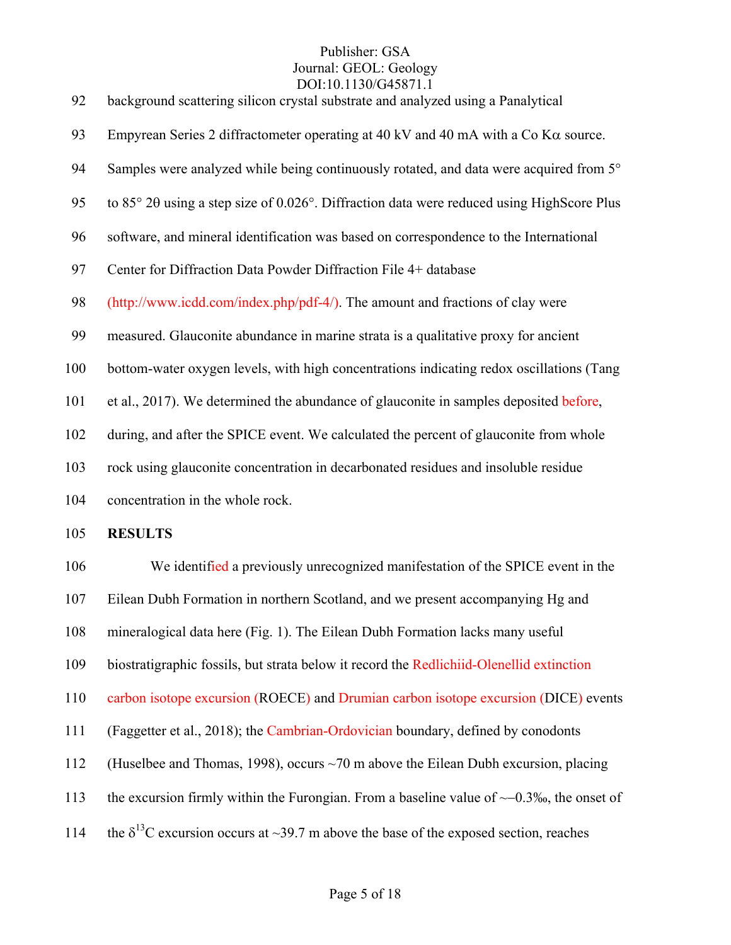| 92  | background scattering silicon crystal substrate and analyzed using a Panalytical                               |
|-----|----------------------------------------------------------------------------------------------------------------|
| 93  | Empyrean Series 2 diffractometer operating at $40 \text{ kV}$ and $40 \text{ mA}$ with a Co K $\alpha$ source. |
| 94  | Samples were analyzed while being continuously rotated, and data were acquired from 5°                         |
| 95  | to $85^{\circ}$ 20 using a step size of 0.026°. Diffraction data were reduced using HighScore Plus             |
| 96  | software, and mineral identification was based on correspondence to the International                          |
| 97  | Center for Diffraction Data Powder Diffraction File 4+ database                                                |
| 98  | (http://www.icdd.com/index.php/pdf-4/). The amount and fractions of clay were                                  |
| 99  | measured. Glauconite abundance in marine strata is a qualitative proxy for ancient                             |
| 100 | bottom-water oxygen levels, with high concentrations indicating redox oscillations (Tang                       |
| 101 | et al., 2017). We determined the abundance of glauconite in samples deposited before,                          |
| 102 | during, and after the SPICE event. We calculated the percent of glauconite from whole                          |
| 103 | rock using glauconite concentration in decarbonated residues and insoluble residue                             |
| 104 | concentration in the whole rock.                                                                               |
| 105 | <b>RESULTS</b>                                                                                                 |
| 106 | We identified a previously unrecognized manifestation of the SPICE event in the                                |
| 107 | Eilean Dubh Formation in northern Scotland, and we present accompanying Hg and                                 |
| 108 | mineralogical data here (Fig. 1). The Eilean Dubh Formation lacks many useful                                  |
| 109 | biostratigraphic fossils, but strata below it record the Redlichiid-Olenellid extinction                       |
| 110 | carbon isotope excursion (ROECE) and Drumian carbon isotope excursion (DICE) events                            |
| 111 | (Faggetter et al., 2018); the Cambrian-Ordovician boundary, defined by conodonts                               |
| 112 | (Huselbee and Thomas, 1998), occurs $\sim$ 70 m above the Eilean Dubh excursion, placing                       |
| 113 | the excursion firmly within the Furongian. From a baseline value of $\sim$ 0.3‰, the onset of                  |
| 114 | the $\delta^{13}$ C excursion occurs at ~39.7 m above the base of the exposed section, reaches                 |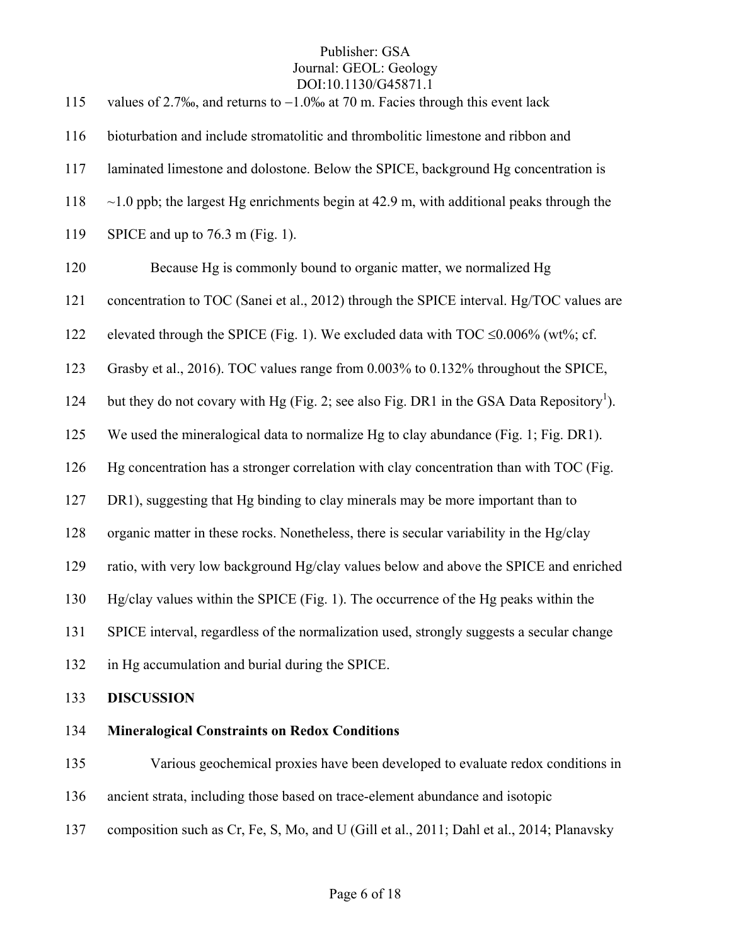| 115 | values of 2.7‰, and returns to $-1.0$ ‰ at 70 m. Facies through this event lack                      |
|-----|------------------------------------------------------------------------------------------------------|
| 116 | bioturbation and include stromatolitic and thrombolitic limestone and ribbon and                     |
| 117 | laminated limestone and dolostone. Below the SPICE, background Hg concentration is                   |
| 118 | $\sim$ 1.0 ppb; the largest Hg enrichments begin at 42.9 m, with additional peaks through the        |
| 119 | SPICE and up to 76.3 m (Fig. 1).                                                                     |
| 120 | Because Hg is commonly bound to organic matter, we normalized Hg                                     |
| 121 | concentration to TOC (Sanei et al., 2012) through the SPICE interval. Hg/TOC values are              |
| 122 | elevated through the SPICE (Fig. 1). We excluded data with TOC $\leq 0.006\%$ (wt%; cf.              |
| 123 | Grasby et al., 2016). TOC values range from 0.003% to 0.132% throughout the SPICE,                   |
| 124 | but they do not covary with Hg (Fig. 2; see also Fig. DR1 in the GSA Data Repository <sup>1</sup> ). |
| 125 | We used the mineralogical data to normalize Hg to clay abundance (Fig. 1; Fig. DR1).                 |
| 126 | Hg concentration has a stronger correlation with clay concentration than with TOC (Fig.              |
| 127 | DR1), suggesting that Hg binding to clay minerals may be more important than to                      |
| 128 | organic matter in these rocks. Nonetheless, there is secular variability in the Hg/clay              |
| 129 | ratio, with very low background Hg/clay values below and above the SPICE and enriched                |
| 130 | Hg/clay values within the SPICE (Fig. 1). The occurrence of the Hg peaks within the                  |
| 131 | SPICE interval, regardless of the normalization used, strongly suggests a secular change             |
| 132 | in Hg accumulation and burial during the SPICE.                                                      |
|     |                                                                                                      |

# 133 **DISCUSSION**

# 134 **Mineralogical Constraints on Redox Conditions**

135 Various geochemical proxies have been developed to evaluate redox conditions in 136 ancient strata, including those based on trace-element abundance and isotopic

137 composition such as Cr, Fe, S, Mo, and U (Gill et al., 2011; Dahl et al., 2014; Planavsky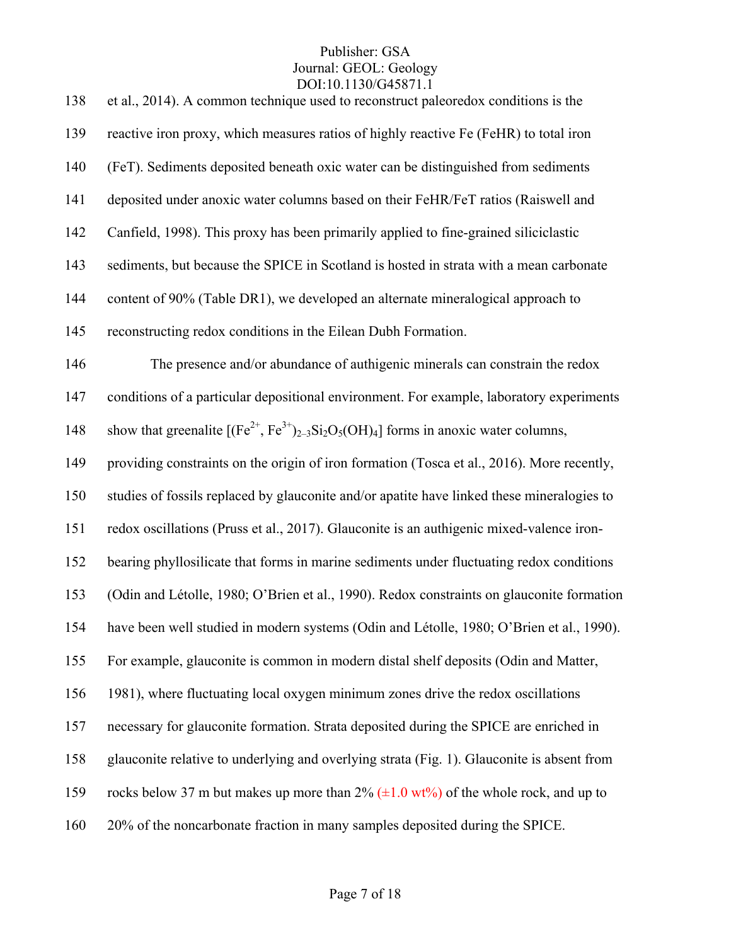| 138 | et al., 2014). A common technique used to reconstruct paleoredox conditions is the            |
|-----|-----------------------------------------------------------------------------------------------|
| 139 | reactive iron proxy, which measures ratios of highly reactive Fe (FeHR) to total iron         |
| 140 | (FeT). Sediments deposited beneath oxic water can be distinguished from sediments             |
| 141 | deposited under anoxic water columns based on their FeHR/FeT ratios (Raiswell and             |
| 142 | Canfield, 1998). This proxy has been primarily applied to fine-grained siliciclastic          |
| 143 | sediments, but because the SPICE in Scotland is hosted in strata with a mean carbonate        |
| 144 | content of 90% (Table DR1), we developed an alternate mineralogical approach to               |
| 145 | reconstructing redox conditions in the Eilean Dubh Formation.                                 |
| 146 | The presence and/or abundance of authigenic minerals can constrain the redox                  |
| 147 | conditions of a particular depositional environment. For example, laboratory experiments      |
| 148 | show that greenalite $[(Fe^{2+}, Fe^{3+})_{2-3}Si_2O_5(OH)_4]$ forms in anoxic water columns, |
| 149 | providing constraints on the origin of iron formation (Tosca et al., 2016). More recently,    |
| 150 | studies of fossils replaced by glauconite and/or apatite have linked these mineralogies to    |
| 151 | redox oscillations (Pruss et al., 2017). Glauconite is an authigenic mixed-valence iron-      |
| 152 | bearing phyllosilicate that forms in marine sediments under fluctuating redox conditions      |
| 153 | (Odin and Létolle, 1980; O'Brien et al., 1990). Redox constraints on glauconite formation     |
| 154 | have been well studied in modern systems (Odin and Létolle, 1980; O'Brien et al., 1990).      |
| 155 | For example, glauconite is common in modern distal shelf deposits (Odin and Matter,           |
| 156 | 1981), where fluctuating local oxygen minimum zones drive the redox oscillations              |
| 157 | necessary for glauconite formation. Strata deposited during the SPICE are enriched in         |
| 158 | glauconite relative to underlying and overlying strata (Fig. 1). Glauconite is absent from    |
| 159 | rocks below 37 m but makes up more than $2\%$ ( $\pm 1.0$ wt%) of the whole rock, and up to   |
| 160 | 20% of the noncarbonate fraction in many samples deposited during the SPICE.                  |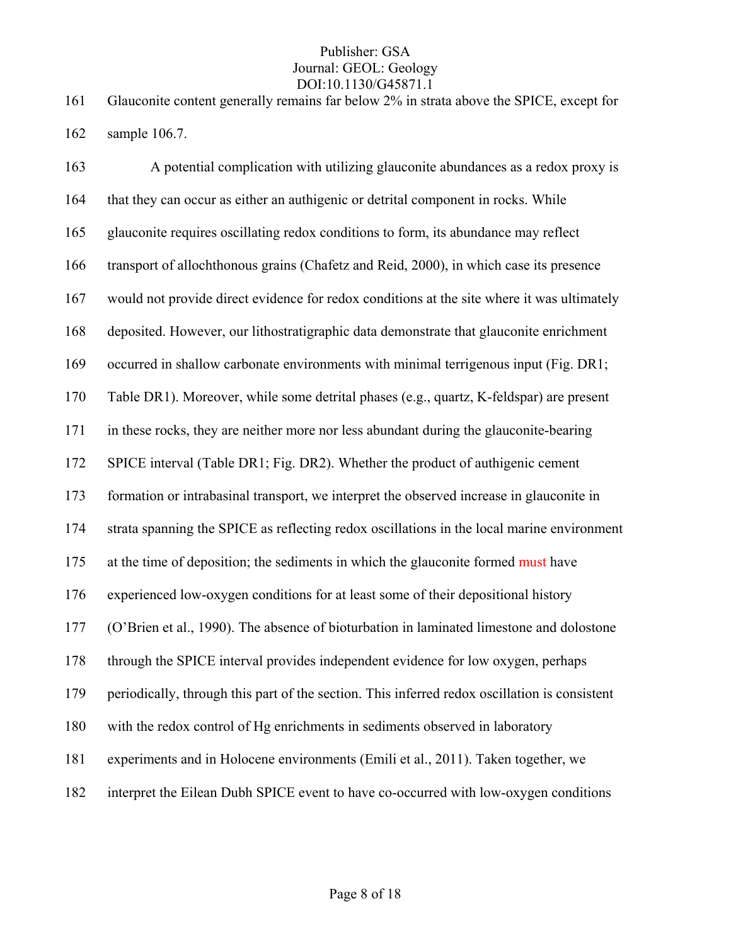161 Glauconite content generally remains far below 2% in strata above the SPICE, except for 162 sample 106.7.

163 A potential complication with utilizing glauconite abundances as a redox proxy is 164 that they can occur as either an authigenic or detrital component in rocks. While 165 glauconite requires oscillating redox conditions to form, its abundance may reflect 166 transport of allochthonous grains (Chafetz and Reid, 2000), in which case its presence 167 would not provide direct evidence for redox conditions at the site where it was ultimately 168 deposited. However, our lithostratigraphic data demonstrate that glauconite enrichment 169 occurred in shallow carbonate environments with minimal terrigenous input (Fig. DR1; 170 Table DR1). Moreover, while some detrital phases (e.g., quartz, K-feldspar) are present 171 in these rocks, they are neither more nor less abundant during the glauconite-bearing 172 SPICE interval (Table DR1; Fig. DR2). Whether the product of authigenic cement 173 formation or intrabasinal transport, we interpret the observed increase in glauconite in 174 strata spanning the SPICE as reflecting redox oscillations in the local marine environment 175 at the time of deposition; the sediments in which the glauconite formed must have 176 experienced low-oxygen conditions for at least some of their depositional history 177 (O'Brien et al., 1990). The absence of bioturbation in laminated limestone and dolostone 178 through the SPICE interval provides independent evidence for low oxygen, perhaps 179 periodically, through this part of the section. This inferred redox oscillation is consistent 180 with the redox control of Hg enrichments in sediments observed in laboratory 181 experiments and in Holocene environments (Emili et al., 2011). Taken together, we 182 interpret the Eilean Dubh SPICE event to have co-occurred with low-oxygen conditions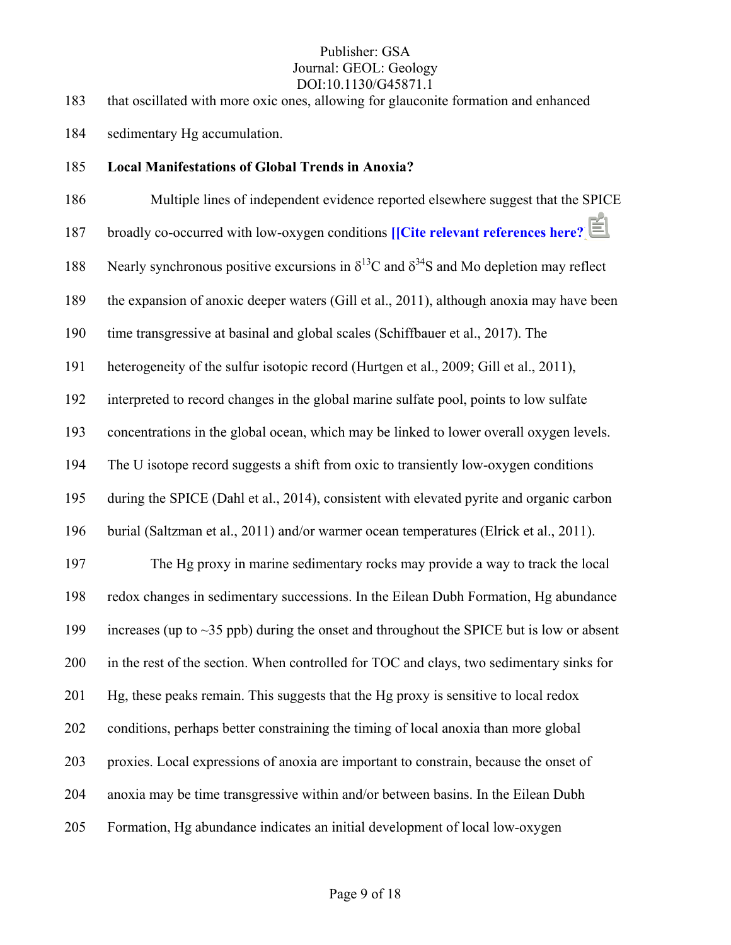183 that oscillated with more oxic ones, allowing for glauconite formation and enhanced

184 sedimentary Hg accumulation.

#### 185 **Local Manifestations of Global Trends in Anoxia?**

186 Multiple lines of independent evidence reported elsewhere suggest that the SPICE 187 broadly co-occurred with low-oxygen conditions **[[Cite relevant references here?** 188 Nearly synchronous positive excursions in  $\delta^{13}$ C and  $\delta^{34}$ S and Mo depletion may reflect 189 the expansion of anoxic deeper waters (Gill et al., 2011), although anoxia may have been 190 time transgressive at basinal and global scales (Schiffbauer et al., 2017). The 191 heterogeneity of the sulfur isotopic record (Hurtgen et al., 2009; Gill et al., 2011), 192 interpreted to record changes in the global marine sulfate pool, points to low sulfate 193 concentrations in the global ocean, which may be linked to lower overall oxygen levels. 194 The U isotope record suggests a shift from oxic to transiently low-oxygen conditions 195 during the SPICE (Dahl et al., 2014), consistent with elevated pyrite and organic carbon 196 burial (Saltzman et al., 2011) and/or warmer ocean temperatures (Elrick et al., 2011). 197 The Hg proxy in marine sedimentary rocks may provide a way to track the local 198 redox changes in sedimentary successions. In the Eilean Dubh Formation, Hg abundance 199 increases (up to ~35 ppb) during the onset and throughout the SPICE but is low or absent 200 in the rest of the section. When controlled for TOC and clays, two sedimentary sinks for 201 Hg, these peaks remain. This suggests that the Hg proxy is sensitive to local redox 202 conditions, perhaps better constraining the timing of local anoxia than more global 203 proxies. Local expressions of anoxia are important to constrain, because the onset of 204 anoxia may be time transgressive within and/or between basins. In the Eilean Dubh 205 Formation, Hg abundance indicates an initial development of local low-oxygen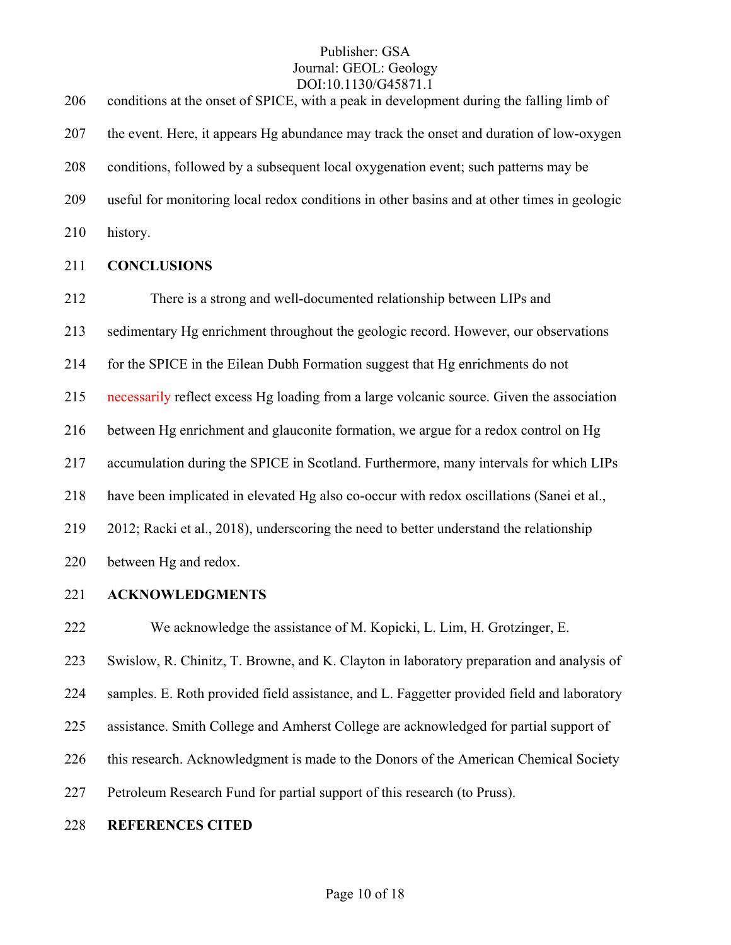| 206 | DOI.IV.1190/079071.1<br>conditions at the onset of SPICE, with a peak in development during the falling limb of |
|-----|-----------------------------------------------------------------------------------------------------------------|
| 207 | the event. Here, it appears Hg abundance may track the onset and duration of low-oxygen                         |
| 208 | conditions, followed by a subsequent local oxygenation event; such patterns may be                              |
| 209 | useful for monitoring local redox conditions in other basins and at other times in geologic                     |
| 210 | history.                                                                                                        |
| 211 | <b>CONCLUSIONS</b>                                                                                              |
| 212 | There is a strong and well-documented relationship between LIPs and                                             |
| 213 | sedimentary Hg enrichment throughout the geologic record. However, our observations                             |
| 214 | for the SPICE in the Eilean Dubh Formation suggest that Hg enrichments do not                                   |
| 215 | necessarily reflect excess Hg loading from a large volcanic source. Given the association                       |
| 216 | between Hg enrichment and glauconite formation, we argue for a redox control on Hg                              |
| 217 | accumulation during the SPICE in Scotland. Furthermore, many intervals for which LIPs                           |
| 218 | have been implicated in elevated Hg also co-occur with redox oscillations (Sanei et al.,                        |
| 219 | 2012; Racki et al., 2018), underscoring the need to better understand the relationship                          |
| 220 | between Hg and redox.                                                                                           |
| 221 | <b>ACKNOWLEDGMENTS</b>                                                                                          |

222 We acknowledge the assistance of M. Kopicki, L. Lim, H. Grotzinger, E.

223 Swislow, R. Chinitz, T. Browne, and K. Clayton in laboratory preparation and analysis of

224 samples. E. Roth provided field assistance, and L. Faggetter provided field and laboratory

225 assistance. Smith College and Amherst College are acknowledged for partial support of

226 this research. Acknowledgment is made to the Donors of the American Chemical Society

227 Petroleum Research Fund for partial support of this research (to Pruss).

#### 228 **REFERENCES CITED**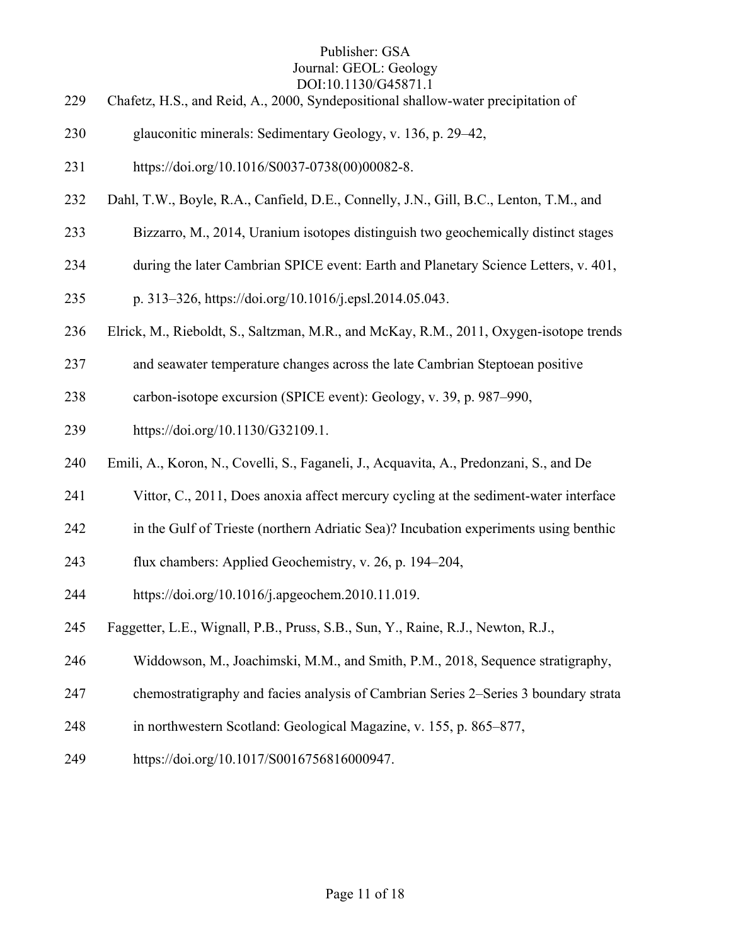- 229 Chafetz, H.S., and Reid, A., 2000, Syndepositional shallow-water precipitation of
- 230 glauconitic minerals: Sedimentary Geology, v. 136, p. 29–42,
- 231 https://doi.org/10.1016/S0037-0738(00)00082-8.
- 232 Dahl, T.W., Boyle, R.A., Canfield, D.E., Connelly, J.N., Gill, B.C., Lenton, T.M., and
- 233 Bizzarro, M., 2014, Uranium isotopes distinguish two geochemically distinct stages
- 234 during the later Cambrian SPICE event: Earth and Planetary Science Letters, v. 401,
- 235 p. 313–326, https://doi.org/10.1016/j.epsl.2014.05.043.
- 236 Elrick, M., Rieboldt, S., Saltzman, M.R., and McKay, R.M., 2011, Oxygen-isotope trends
- 237 and seawater temperature changes across the late Cambrian Steptoean positive
- 238 carbon-isotope excursion (SPICE event): Geology, v. 39, p. 987–990,
- 239 https://doi.org/10.1130/G32109.1.
- 240 Emili, A., Koron, N., Covelli, S., Faganeli, J., Acquavita, A., Predonzani, S., and De
- 241 Vittor, C., 2011, Does anoxia affect mercury cycling at the sediment-water interface
- 242 in the Gulf of Trieste (northern Adriatic Sea)? Incubation experiments using benthic
- 243 flux chambers: Applied Geochemistry, v. 26, p. 194–204,
- 244 https://doi.org/10.1016/j.apgeochem.2010.11.019.
- 245 Faggetter, L.E., Wignall, P.B., Pruss, S.B., Sun, Y., Raine, R.J., Newton, R.J.,
- 246 Widdowson, M., Joachimski, M.M., and Smith, P.M., 2018, Sequence stratigraphy,
- 247 chemostratigraphy and facies analysis of Cambrian Series 2–Series 3 boundary strata
- 248 in northwestern Scotland: Geological Magazine, v. 155, p. 865–877,
- 249 https://doi.org/10.1017/S0016756816000947.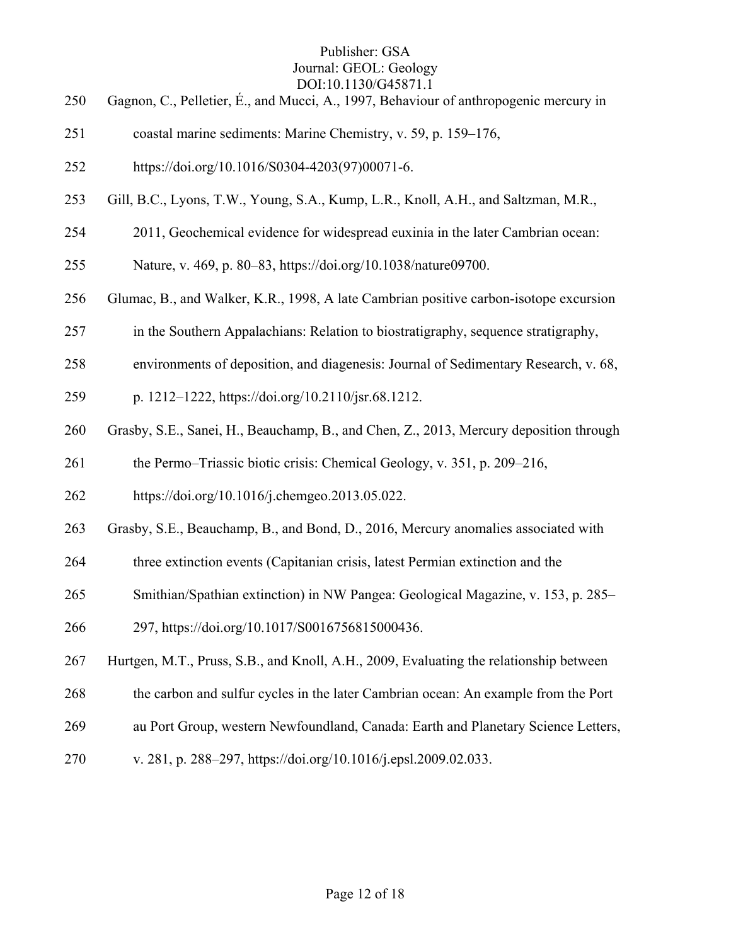- 250 Gagnon, C., Pelletier, É., and Mucci, A., 1997, Behaviour of anthropogenic mercury in
- 251 coastal marine sediments: Marine Chemistry, v. 59, p. 159–176,
- 252 https://doi.org/10.1016/S0304-4203(97)00071-6.
- 253 Gill, B.C., Lyons, T.W., Young, S.A., Kump, L.R., Knoll, A.H., and Saltzman, M.R.,
- 254 2011, Geochemical evidence for widespread euxinia in the later Cambrian ocean:
- 255 Nature, v. 469, p. 80–83, https://doi.org/10.1038/nature09700.
- 256 Glumac, B., and Walker, K.R., 1998, A late Cambrian positive carbon-isotope excursion
- 257 in the Southern Appalachians: Relation to biostratigraphy, sequence stratigraphy,
- 258 environments of deposition, and diagenesis: Journal of Sedimentary Research, v. 68,
- 259 p. 1212–1222, https://doi.org/10.2110/jsr.68.1212.
- 260 Grasby, S.E., Sanei, H., Beauchamp, B., and Chen, Z., 2013, Mercury deposition through

261 the Permo–Triassic biotic crisis: Chemical Geology, v. 351, p. 209–216,

- 262 https://doi.org/10.1016/j.chemgeo.2013.05.022.
- 263 Grasby, S.E., Beauchamp, B., and Bond, D., 2016, Mercury anomalies associated with
- 264 three extinction events (Capitanian crisis, latest Permian extinction and the
- 265 Smithian/Spathian extinction) in NW Pangea: Geological Magazine, v. 153, p. 285–

266 297, https://doi.org/10.1017/S0016756815000436.

- 267 Hurtgen, M.T., Pruss, S.B., and Knoll, A.H., 2009, Evaluating the relationship between
- 268 the carbon and sulfur cycles in the later Cambrian ocean: An example from the Port
- 269 au Port Group, western Newfoundland, Canada: Earth and Planetary Science Letters,
- 270 v. 281, p. 288–297, https://doi.org/10.1016/j.epsl.2009.02.033.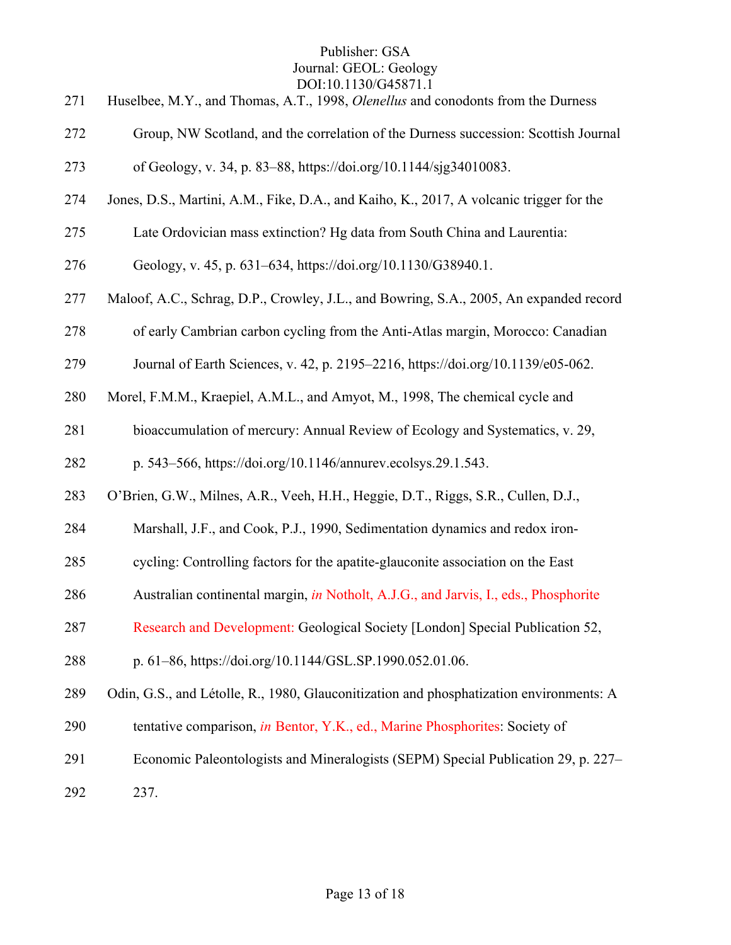271 Huselbee, M.Y., and Thomas, A.T., 1998, *Olenellus* and conodonts from the Durness 272 Group, NW Scotland, and the correlation of the Durness succession: Scottish Journal 273 of Geology, v. 34, p. 83–88, https://doi.org/10.1144/sjg34010083. 274 Jones, D.S., Martini, A.M., Fike, D.A., and Kaiho, K., 2017, A volcanic trigger for the 275 Late Ordovician mass extinction? Hg data from South China and Laurentia: 276 Geology, v. 45, p. 631–634, https://doi.org/10.1130/G38940.1. 277 Maloof, A.C., Schrag, D.P., Crowley, J.L., and Bowring, S.A., 2005, An expanded record 278 of early Cambrian carbon cycling from the Anti-Atlas margin, Morocco: Canadian 279 Journal of Earth Sciences, v. 42, p. 2195–2216, https://doi.org/10.1139/e05-062. 280 Morel, F.M.M., Kraepiel, A.M.L., and Amyot, M., 1998, The chemical cycle and 281 bioaccumulation of mercury: Annual Review of Ecology and Systematics, v. 29, 282 p. 543–566, https://doi.org/10.1146/annurev.ecolsys.29.1.543. 283 O'Brien, G.W., Milnes, A.R., Veeh, H.H., Heggie, D.T., Riggs, S.R., Cullen, D.J., 284 Marshall, J.F., and Cook, P.J., 1990, Sedimentation dynamics and redox iron-285 cycling: Controlling factors for the apatite-glauconite association on the East 286 Australian continental margin, *in* Notholt, A.J.G., and Jarvis, I., eds., Phosphorite 287 Research and Development: Geological Society [London] Special Publication 52, 288 p. 61–86, https://doi.org/10.1144/GSL.SP.1990.052.01.06. 289 Odin, G.S., and Létolle, R., 1980, Glauconitization and phosphatization environments: A 290 tentative comparison, *in* Bentor, Y.K., ed., Marine Phosphorites: Society of 291 Economic Paleontologists and Mineralogists (SEPM) Special Publication 29, p. 227– 292 237.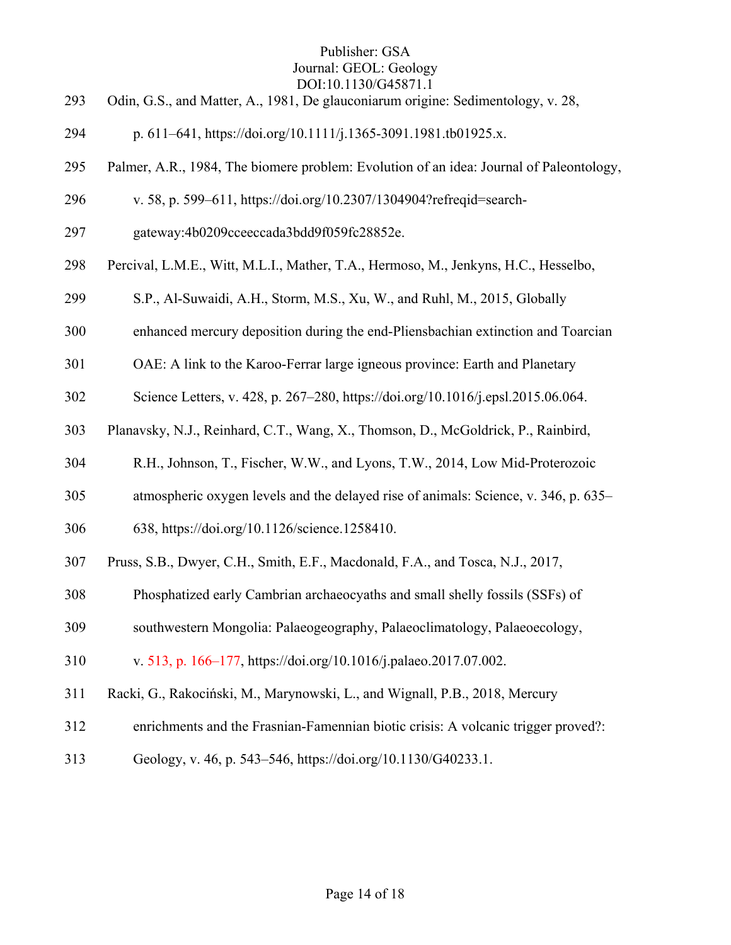- 293 Odin, G.S., and Matter, A., 1981, De glauconiarum origine: Sedimentology, v. 28,
- 294 p. 611–641, https://doi.org/10.1111/j.1365-3091.1981.tb01925.x.
- 295 Palmer, A.R., 1984, The biomere problem: Evolution of an idea: Journal of Paleontology,
- 296 v. 58, p. 599–611, https://doi.org/10.2307/1304904?refreqid=search-
- 297 gateway:4b0209cceeccada3bdd9f059fc28852e.
- 298 Percival, L.M.E., Witt, M.L.I., Mather, T.A., Hermoso, M., Jenkyns, H.C., Hesselbo,
- 299 S.P., Al-Suwaidi, A.H., Storm, M.S., Xu, W., and Ruhl, M., 2015, Globally
- 300 enhanced mercury deposition during the end-Pliensbachian extinction and Toarcian
- 301 OAE: A link to the Karoo-Ferrar large igneous province: Earth and Planetary
- 302 Science Letters, v. 428, p. 267–280, https://doi.org/10.1016/j.epsl.2015.06.064.
- 303 Planavsky, N.J., Reinhard, C.T., Wang, X., Thomson, D., McGoldrick, P., Rainbird,
- 304 R.H., Johnson, T., Fischer, W.W., and Lyons, T.W., 2014, Low Mid-Proterozoic
- 305 atmospheric oxygen levels and the delayed rise of animals: Science, v. 346, p. 635–
- 306 638, https://doi.org/10.1126/science.1258410.
- 307 Pruss, S.B., Dwyer, C.H., Smith, E.F., Macdonald, F.A., and Tosca, N.J., 2017,
- 308 Phosphatized early Cambrian archaeocyaths and small shelly fossils (SSFs) of

309 southwestern Mongolia: Palaeogeography, Palaeoclimatology, Palaeoecology,

310 v. 513, p. 166–177, https://doi.org/10.1016/j.palaeo.2017.07.002.

- 311 Racki, G., Rakociński, M., Marynowski, L., and Wignall, P.B., 2018, Mercury
- 312 enrichments and the Frasnian-Famennian biotic crisis: A volcanic trigger proved?:
- 313 Geology, v. 46, p. 543–546, https://doi.org/10.1130/G40233.1.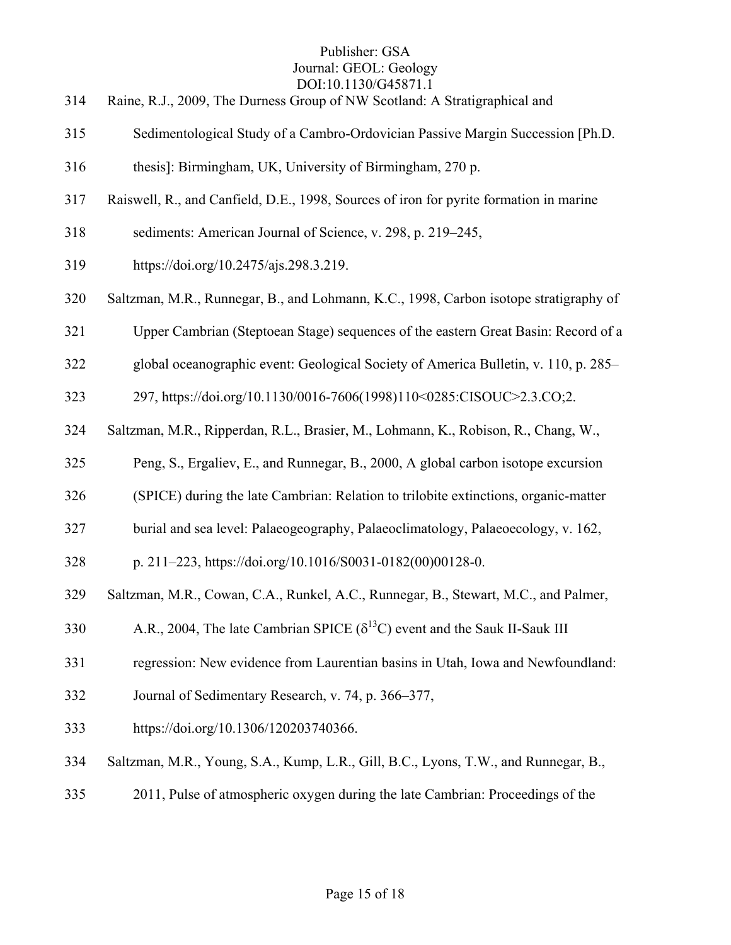- 314 Raine, R.J., 2009, The Durness Group of NW Scotland: A Stratigraphical and
- 315 Sedimentological Study of a Cambro-Ordovician Passive Margin Succession [Ph.D.
- 316 thesis]: Birmingham, UK, University of Birmingham, 270 p.
- 317 Raiswell, R., and Canfield, D.E., 1998, Sources of iron for pyrite formation in marine
- 318 sediments: American Journal of Science, v. 298, p. 219–245,
- 319 https://doi.org/10.2475/ajs.298.3.219.
- 320 Saltzman, M.R., Runnegar, B., and Lohmann, K.C., 1998, Carbon isotope stratigraphy of
- 321 Upper Cambrian (Steptoean Stage) sequences of the eastern Great Basin: Record of a
- 322 global oceanographic event: Geological Society of America Bulletin, v. 110, p. 285–

323 297, https://doi.org/10.1130/0016-7606(1998)110<0285:CISOUC>2.3.CO;2.

- 324 Saltzman, M.R., Ripperdan, R.L., Brasier, M., Lohmann, K., Robison, R., Chang, W.,
- 325 Peng, S., Ergaliev, E., and Runnegar, B., 2000, A global carbon isotope excursion
- 326 (SPICE) during the late Cambrian: Relation to trilobite extinctions, organic-matter
- 327 burial and sea level: Palaeogeography, Palaeoclimatology, Palaeoecology, v. 162,
- 328 p. 211–223, https://doi.org/10.1016/S0031-0182(00)00128-0.
- 329 Saltzman, M.R., Cowan, C.A., Runkel, A.C., Runnegar, B., Stewart, M.C., and Palmer,
- 330 A.R., 2004, The late Cambrian SPICE  $(\delta^{13}C)$  event and the Sauk II-Sauk III
- 331 regression: New evidence from Laurentian basins in Utah, Iowa and Newfoundland:
- 332 Journal of Sedimentary Research, v. 74, p. 366–377,
- 333 https://doi.org/10.1306/120203740366.
- 334 Saltzman, M.R., Young, S.A., Kump, L.R., Gill, B.C., Lyons, T.W., and Runnegar, B.,
- 335 2011, Pulse of atmospheric oxygen during the late Cambrian: Proceedings of the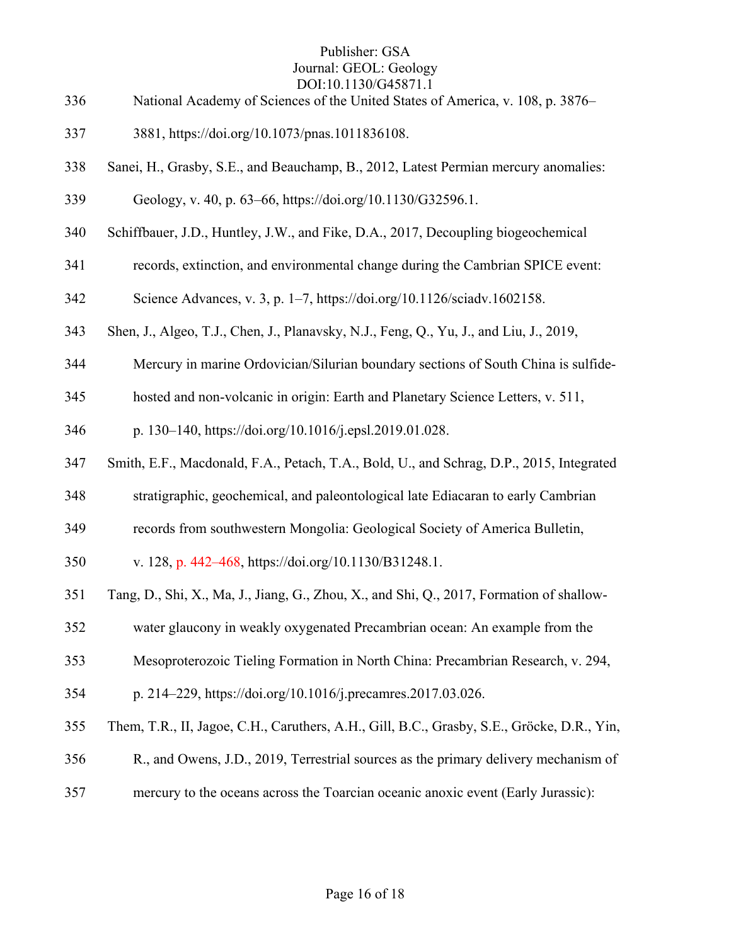- 336 National Academy of Sciences of the United States of America, v. 108, p. 3876–
- 337 3881, https://doi.org/10.1073/pnas.1011836108.
- 338 Sanei, H., Grasby, S.E., and Beauchamp, B., 2012, Latest Permian mercury anomalies:
- 339 Geology, v. 40, p. 63–66, https://doi.org/10.1130/G32596.1.
- 340 Schiffbauer, J.D., Huntley, J.W., and Fike, D.A., 2017, Decoupling biogeochemical
- 341 records, extinction, and environmental change during the Cambrian SPICE event:
- 342 Science Advances, v. 3, p. 1–7, https://doi.org/10.1126/sciadv.1602158.
- 343 Shen, J., Algeo, T.J., Chen, J., Planavsky, N.J., Feng, Q., Yu, J., and Liu, J., 2019,
- 344 Mercury in marine Ordovician/Silurian boundary sections of South China is sulfide-
- 345 hosted and non-volcanic in origin: Earth and Planetary Science Letters, v. 511,
- 346 p. 130–140, https://doi.org/10.1016/j.epsl.2019.01.028.
- 347 Smith, E.F., Macdonald, F.A., Petach, T.A., Bold, U., and Schrag, D.P., 2015, Integrated
- 348 stratigraphic, geochemical, and paleontological late Ediacaran to early Cambrian
- 349 records from southwestern Mongolia: Geological Society of America Bulletin,
- 350 v. 128, p. 442–468, https://doi.org/10.1130/B31248.1.
- 351 Tang, D., Shi, X., Ma, J., Jiang, G., Zhou, X., and Shi, Q., 2017, Formation of shallow-
- 352 water glaucony in weakly oxygenated Precambrian ocean: An example from the
- 353 Mesoproterozoic Tieling Formation in North China: Precambrian Research, v. 294,
- 354 p. 214–229, https://doi.org/10.1016/j.precamres.2017.03.026.
- 355 Them, T.R., II, Jagoe, C.H., Caruthers, A.H., Gill, B.C., Grasby, S.E., Gröcke, D.R., Yin,
- 356 R., and Owens, J.D., 2019, Terrestrial sources as the primary delivery mechanism of
- 357 mercury to the oceans across the Toarcian oceanic anoxic event (Early Jurassic):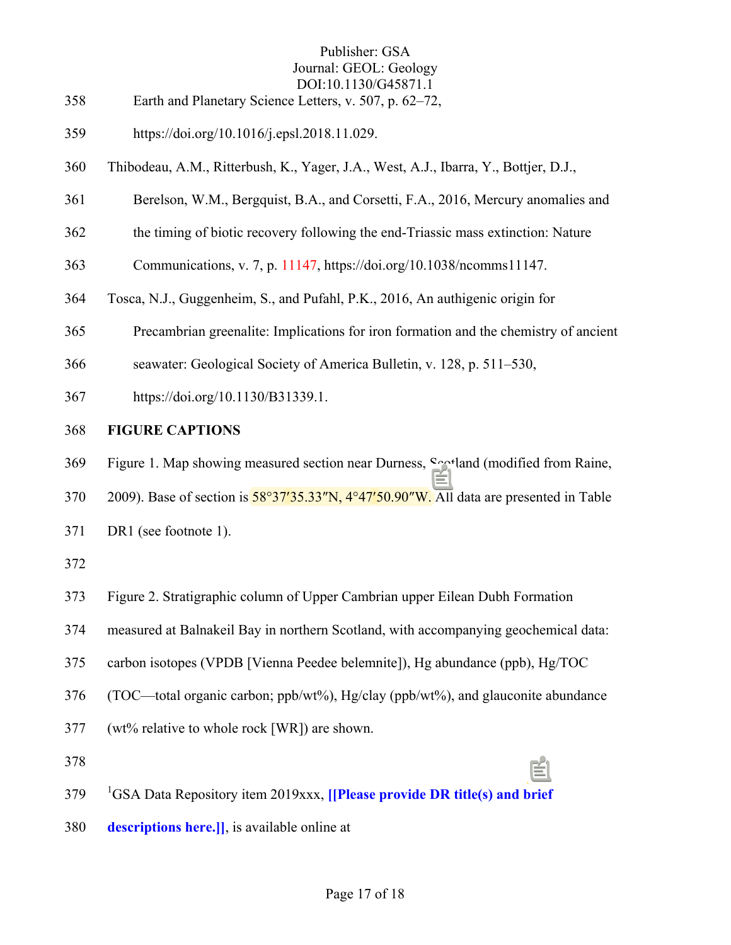- 358 Earth and Planetary Science Letters, v. 507, p. 62–72,
- 359 https://doi.org/10.1016/j.epsl.2018.11.029.
- 360 Thibodeau, A.M., Ritterbush, K., Yager, J.A., West, A.J., Ibarra, Y., Bottjer, D.J.,
- 361 Berelson, W.M., Bergquist, B.A., and Corsetti, F.A., 2016, Mercury anomalies and
- 362 the timing of biotic recovery following the end-Triassic mass extinction: Nature
- 363 Communications, v. 7, p. 11147, https://doi.org/10.1038/ncomms11147.
- 364 Tosca, N.J., Guggenheim, S., and Pufahl, P.K., 2016, An authigenic origin for
- 365 Precambrian greenalite: Implications for iron formation and the chemistry of ancient
- 366 seawater: Geological Society of America Bulletin, v. 128, p. 511–530,
- 367 https://doi.org/10.1130/B31339.1.

### 368 **FIGURE CAPTIONS**

- 369 Figure 1. Map showing measured section near Durness, Scotland (modified from Raine,
- 370 2009). Base of section is 58°37'35.33"N, 4°47'50.90"W. All data are presented in Table
- 371 DR1 (see footnote 1).
- 372
- 373 Figure 2. Stratigraphic column of Upper Cambrian upper Eilean Dubh Formation
- 374 measured at Balnakeil Bay in northern Scotland, with accompanying geochemical data:
- 375 carbon isotopes (VPDB [Vienna Peedee belemnite]), Hg abundance (ppb), Hg/TOC
- 376 (TOC—total organic carbon; ppb/wt%), Hg/clay (ppb/wt%), and glauconite abundance
- 377 (wt% relative to whole rock [WR]) are shown.
- 378
- 1 379 GSA Data Repository item 2019xxx, **[[Please provide DR title(s) and brief**
- 380 **descriptions here.]]**, is available online at